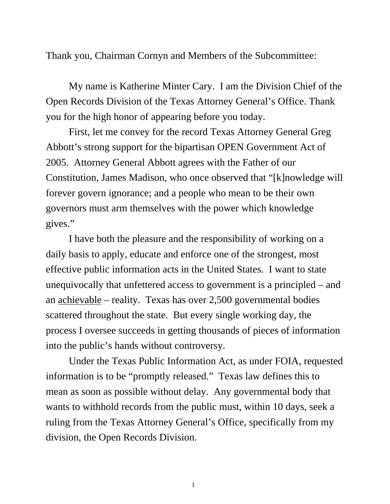Thank you, Chairman Cornyn and Members of the Subcommittee:

 My name is Katherine Minter Cary. I am the Division Chief of the Open Records Division of the Texas Attorney General's Office. Thank you for the high honor of appearing before you today.

 First, let me convey for the record Texas Attorney General Greg Abbott's strong support for the bipartisan OPEN Government Act of 2005. Attorney General Abbott agrees with the Father of our Constitution, James Madison, who once observed that "[k]nowledge will forever govern ignorance; and a people who mean to be their own governors must arm themselves with the power which knowledge gives."

 I have both the pleasure and the responsibility of working on a daily basis to apply, educate and enforce one of the strongest, most effective public information acts in the United States. I want to state unequivocally that unfettered access to government is a principled – and an achievable – reality. Texas has over 2,500 governmental bodies scattered throughout the state. But every single working day, the process I oversee succeeds in getting thousands of pieces of information into the public's hands without controversy.

 Under the Texas Public Information Act, as under FOIA, requested information is to be "promptly released." Texas law defines this to mean as soon as possible without delay. Any governmental body that wants to withhold records from the public must, within 10 days, seek a ruling from the Texas Attorney General's Office, specifically from my division, the Open Records Division.

1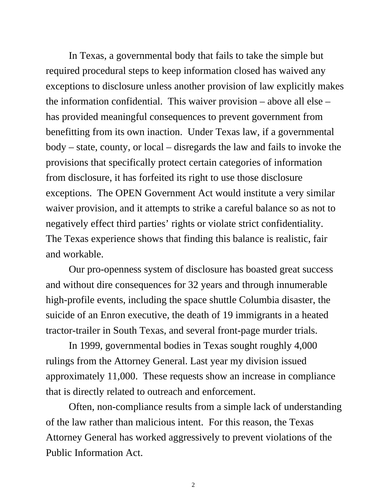In Texas, a governmental body that fails to take the simple but required procedural steps to keep information closed has waived any exceptions to disclosure unless another provision of law explicitly makes the information confidential. This waiver provision – above all else – has provided meaningful consequences to prevent government from benefitting from its own inaction. Under Texas law, if a governmental body – state, county, or local – disregards the law and fails to invoke the provisions that specifically protect certain categories of information from disclosure, it has forfeited its right to use those disclosure exceptions. The OPEN Government Act would institute a very similar waiver provision, and it attempts to strike a careful balance so as not to negatively effect third parties' rights or violate strict confidentiality. The Texas experience shows that finding this balance is realistic, fair and workable.

 Our pro-openness system of disclosure has boasted great success and without dire consequences for 32 years and through innumerable high-profile events, including the space shuttle Columbia disaster, the suicide of an Enron executive, the death of 19 immigrants in a heated tractor-trailer in South Texas, and several front-page murder trials.

 In 1999, governmental bodies in Texas sought roughly 4,000 rulings from the Attorney General. Last year my division issued approximately 11,000. These requests show an increase in compliance that is directly related to outreach and enforcement.

 Often, non-compliance results from a simple lack of understanding of the law rather than malicious intent. For this reason, the Texas Attorney General has worked aggressively to prevent violations of the Public Information Act.

2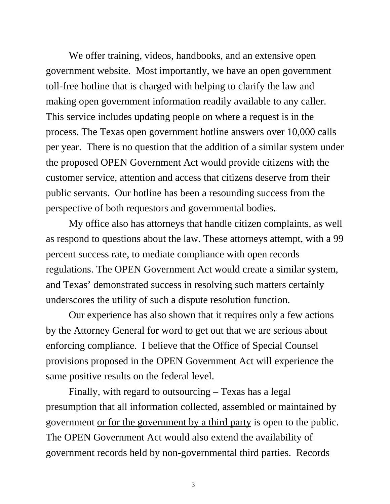We offer training, videos, handbooks, and an extensive open government website. Most importantly, we have an open government toll-free hotline that is charged with helping to clarify the law and making open government information readily available to any caller. This service includes updating people on where a request is in the process. The Texas open government hotline answers over 10,000 calls per year. There is no question that the addition of a similar system under the proposed OPEN Government Act would provide citizens with the customer service, attention and access that citizens deserve from their public servants. Our hotline has been a resounding success from the perspective of both requestors and governmental bodies.

 My office also has attorneys that handle citizen complaints, as well as respond to questions about the law. These attorneys attempt, with a 99 percent success rate, to mediate compliance with open records regulations. The OPEN Government Act would create a similar system, and Texas' demonstrated success in resolving such matters certainly underscores the utility of such a dispute resolution function.

 Our experience has also shown that it requires only a few actions by the Attorney General for word to get out that we are serious about enforcing compliance. I believe that the Office of Special Counsel provisions proposed in the OPEN Government Act will experience the same positive results on the federal level.

 Finally, with regard to outsourcing – Texas has a legal presumption that all information collected, assembled or maintained by government or for the government by a third party is open to the public. The OPEN Government Act would also extend the availability of government records held by non-governmental third parties. Records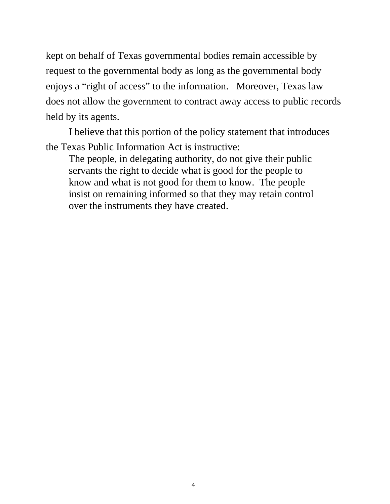kept on behalf of Texas governmental bodies remain accessible by request to the governmental body as long as the governmental body enjoys a "right of access" to the information. Moreover, Texas law does not allow the government to contract away access to public records held by its agents.

 I believe that this portion of the policy statement that introduces the Texas Public Information Act is instructive:

The people, in delegating authority, do not give their public servants the right to decide what is good for the people to know and what is not good for them to know. The people insist on remaining informed so that they may retain control over the instruments they have created.